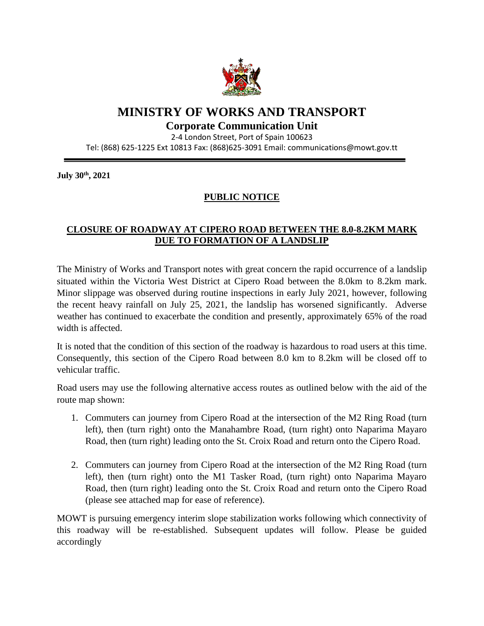

## **MINISTRY OF WORKS AND TRANSPORT**

## **Corporate Communication Unit**

2-4 London Street, Port of Spain 100623

Tel: (868) 625-1225 Ext 10813 Fax: (868)625-3091 Email: communications@mowt.gov.tt

**July 30 th, 2021**

## **PUBLIC NOTICE**

## **CLOSURE OF ROADWAY AT CIPERO ROAD BETWEEN THE 8.0-8.2KM MARK DUE TO FORMATION OF A LANDSLIP**

The Ministry of Works and Transport notes with great concern the rapid occurrence of a landslip situated within the Victoria West District at Cipero Road between the 8.0km to 8.2km mark. Minor slippage was observed during routine inspections in early July 2021, however, following the recent heavy rainfall on July 25, 2021, the landslip has worsened significantly. Adverse weather has continued to exacerbate the condition and presently, approximately 65% of the road width is affected.

It is noted that the condition of this section of the roadway is hazardous to road users at this time. Consequently, this section of the Cipero Road between 8.0 km to 8.2km will be closed off to vehicular traffic.

Road users may use the following alternative access routes as outlined below with the aid of the route map shown:

- 1. Commuters can journey from Cipero Road at the intersection of the M2 Ring Road (turn left), then (turn right) onto the Manahambre Road, (turn right) onto Naparima Mayaro Road, then (turn right) leading onto the St. Croix Road and return onto the Cipero Road.
- 2. Commuters can journey from Cipero Road at the intersection of the M2 Ring Road (turn left), then (turn right) onto the M1 Tasker Road, (turn right) onto Naparima Mayaro Road, then (turn right) leading onto the St. Croix Road and return onto the Cipero Road (please see attached map for ease of reference).

MOWT is pursuing emergency interim slope stabilization works following which connectivity of this roadway will be re-established. Subsequent updates will follow. Please be guided accordingly